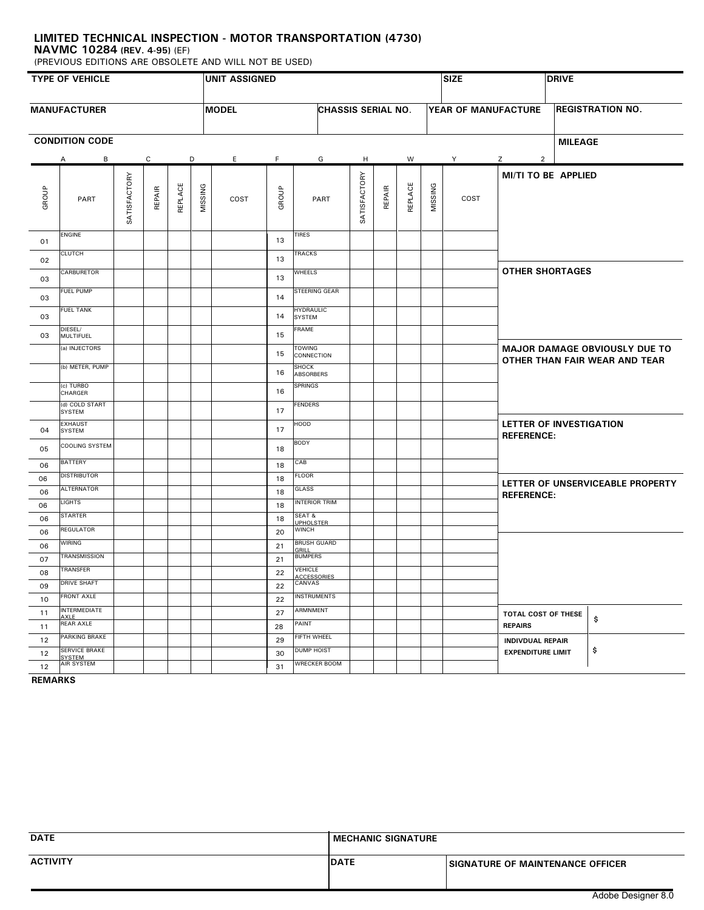## **LIMITED TECHNICAL INSPECTION - MOTOR TRANSPORTATION (4730)**

**NAVMC 10284 (REV. 4-95)** (EF)

(PREVIOUS EDITIONS ARE OBSOLETE AND WILL NOT BE USED)

| <b>TYPE OF VEHICLE</b> |                                       |              |        |                | <b>UNIT ASSIGNED</b> |              |       |                                   |              |        |         | <b>SIZE</b>         | <b>DRIVE</b>   |                                                                       |                         |                                  |
|------------------------|---------------------------------------|--------------|--------|----------------|----------------------|--------------|-------|-----------------------------------|--------------|--------|---------|---------------------|----------------|-----------------------------------------------------------------------|-------------------------|----------------------------------|
| <b>MANUFACTURER</b>    |                                       |              |        |                |                      | <b>MODEL</b> |       | <b>CHASSIS SERIAL NO.</b>         |              |        |         | YEAR OF MANUFACTURE |                |                                                                       | <b>REGISTRATION NO.</b> |                                  |
| <b>CONDITION CODE</b>  |                                       |              |        |                |                      |              |       |                                   |              |        |         |                     | <b>MILEAGE</b> |                                                                       |                         |                                  |
|                        | Α<br>В                                |              | C      | D              |                      | E.           | F.    | G                                 | н            |        | W       |                     | Y              | $\overline{2}$<br>Z                                                   |                         |                                  |
| GROUP                  | PART                                  | SATISFACTORY | REPAIR | <b>REPLACE</b> | MISSING              | COST         | GROUP | PART                              | SATISFACTORY | REPAIR | REPLACE | MISSING             | COST           | MI/TI TO BE APPLIED                                                   |                         |                                  |
| 01                     | <b>ENGINE</b>                         |              |        |                |                      |              | 13    | <b>TIRES</b>                      |              |        |         |                     |                |                                                                       |                         |                                  |
|                        | <b>CLUTCH</b>                         |              |        |                |                      |              |       | <b>TRACKS</b>                     |              |        |         |                     |                |                                                                       |                         |                                  |
| 02                     | <b>CARBURETOR</b>                     |              |        |                |                      |              | 13    | WHEELS                            |              |        |         |                     |                | <b>OTHER SHORTAGES</b>                                                |                         |                                  |
| 03                     |                                       |              |        |                |                      |              | 13    |                                   |              |        |         |                     |                |                                                                       |                         |                                  |
| 03                     | <b>FUEL PUMP</b>                      |              |        |                |                      |              | 14    | <b>STEERING GEAR</b>              |              |        |         |                     |                |                                                                       |                         |                                  |
| 03                     | <b>FUEL TANK</b>                      |              |        |                |                      |              | 14    | <b>HYDRAULIC</b><br><b>SYSTEM</b> |              |        |         |                     |                |                                                                       |                         |                                  |
| 03                     | DIESEL/<br>MULTIFUEL                  |              |        |                |                      |              | 15    | FRAME                             |              |        |         |                     |                |                                                                       |                         |                                  |
|                        | (a) INJECTORS                         |              |        |                |                      |              | 15    | <b>TOWING</b><br>CONNECTION       |              |        |         |                     |                | <b>MAJOR DAMAGE OBVIOUSLY DUE TO</b><br>OTHER THAN FAIR WEAR AND TEAR |                         |                                  |
|                        | (b) METER, PUMP                       |              |        |                |                      |              | 16    | <b>SHOCK</b><br><b>ABSORBERS</b>  |              |        |         |                     |                |                                                                       |                         |                                  |
|                        | (c) TURBO<br><b>CHARGER</b>           |              |        |                |                      |              | 16    | <b>SPRINGS</b>                    |              |        |         |                     |                |                                                                       |                         |                                  |
|                        | (d) COLD START<br><b>SYSTEM</b>       |              |        |                |                      |              | 17    | <b>FENDERS</b>                    |              |        |         |                     |                |                                                                       |                         |                                  |
| 04                     | <b>EXHAUST</b><br><b>SYSTEM</b>       |              |        |                |                      |              | 17    | HOOD                              |              |        |         |                     |                | <b>LETTER OF INVESTIGATION</b><br><b>REFERENCE:</b>                   |                         |                                  |
| 05                     | <b>COOLING SYSTEM</b>                 |              |        |                |                      |              | 18    | <b>BODY</b>                       |              |        |         |                     |                |                                                                       |                         |                                  |
| 06                     | <b>BATTERY</b>                        |              |        |                |                      |              | 18    | CAB                               |              |        |         |                     |                |                                                                       |                         |                                  |
| 06                     | <b>DISTRIBUTOR</b>                    |              |        |                |                      |              | 18    | <b>FLOOR</b>                      |              |        |         |                     |                |                                                                       |                         | LETTER OF UNSERVICEABLE PROPERTY |
| 06                     | ALTERNATOR                            |              |        |                |                      |              | 18    | GLASS                             |              |        |         |                     |                | <b>REFERENCE:</b>                                                     |                         |                                  |
| 06                     | <b>LIGHTS</b>                         |              |        |                |                      |              | 18    | <b>INTERIOR TRIM</b>              |              |        |         |                     |                |                                                                       |                         |                                  |
| 06                     | <b>STARTER</b>                        |              |        |                |                      |              | 18    | SEAT &<br><b>UPHOLSTER</b>        |              |        |         |                     |                |                                                                       |                         |                                  |
| 06                     | REGULATOR                             |              |        |                |                      |              | 20    | <b>WINCH</b>                      |              |        |         |                     |                |                                                                       |                         |                                  |
| 06                     | <b>WIRING</b>                         |              |        |                |                      |              | 21    | <b>BRUSH GUARD</b><br>GRILL       |              |        |         |                     |                |                                                                       |                         |                                  |
| 07                     | <b>TRANSMISSION</b>                   |              |        |                |                      |              | 21    | <b>BUMPERS</b>                    |              |        |         |                     |                |                                                                       |                         |                                  |
| 08                     | TRANSFER                              |              |        |                |                      |              | 22    | VEHICLE<br><b>ACCESSORIES</b>     |              |        |         |                     |                |                                                                       |                         |                                  |
| 09                     | <b>DRIVE SHAFT</b>                    |              |        |                |                      |              | 22    | CANVAS                            |              |        |         |                     |                |                                                                       |                         |                                  |
| 10                     | <b>FRONT AXLE</b>                     |              |        |                |                      |              | 22    | <b>INSTRUMENTS</b>                |              |        |         |                     |                |                                                                       |                         |                                  |
| 11                     | <b>INTERMEDIATE</b><br>AXLE           |              |        |                |                      |              | 27    | ARMNMENT                          |              |        |         |                     |                | TOTAL COST OF THESE                                                   |                         | \$                               |
| 11                     | <b>REAR AXLE</b>                      |              |        |                |                      |              | 28    | PAINT                             |              |        |         |                     |                | <b>REPAIRS</b>                                                        |                         |                                  |
| 12                     | PARKING BRAKE                         |              |        |                |                      |              | 29    | FIFTH WHEEL                       |              |        |         |                     |                | <b>INDIVDUAL REPAIR</b>                                               |                         |                                  |
| 12                     | <b>SERVICE BRAKE</b><br><b>SYSTEM</b> |              |        |                |                      |              | 30    | <b>DUMP HOIST</b>                 |              |        |         |                     |                | <b>EXPENDITURE LIMIT</b>                                              |                         | \$                               |
| 12                     | <b>AIR SYSTEM</b>                     |              |        |                |                      |              | 31    | <b>WRECKER BOOM</b>               |              |        |         |                     |                |                                                                       |                         |                                  |

**REMARKS** 

| <b>DATE</b>     | <b>I MECHANIC SIGNATURE</b> |                                         |  |  |  |  |
|-----------------|-----------------------------|-----------------------------------------|--|--|--|--|
| <b>ACTIVITY</b> | <b>DATE</b>                 | <b>SIGNATURE OF MAINTENANCE OFFICER</b> |  |  |  |  |